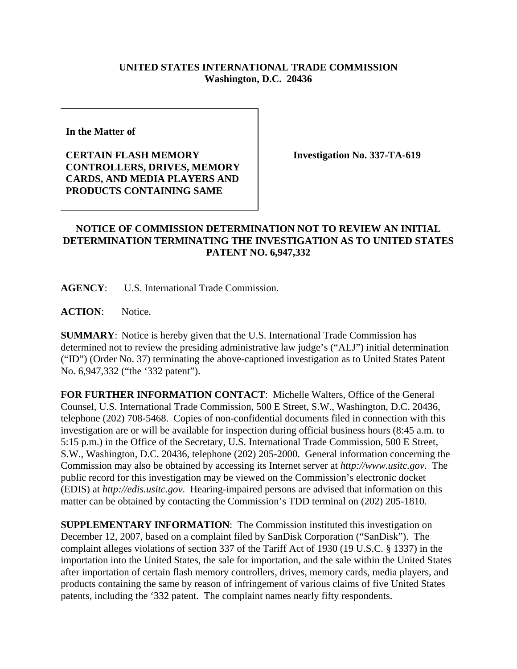## **UNITED STATES INTERNATIONAL TRADE COMMISSION Washington, D.C. 20436**

**In the Matter of** 

**CERTAIN FLASH MEMORY CONTROLLERS, DRIVES, MEMORY CARDS, AND MEDIA PLAYERS AND PRODUCTS CONTAINING SAME**

**Investigation No. 337-TA-619**

## **NOTICE OF COMMISSION DETERMINATION NOT TO REVIEW AN INITIAL DETERMINATION TERMINATING THE INVESTIGATION AS TO UNITED STATES PATENT NO. 6,947,332**

**AGENCY**: U.S. International Trade Commission.

**ACTION**: Notice.

**SUMMARY**: Notice is hereby given that the U.S. International Trade Commission has determined not to review the presiding administrative law judge's ("ALJ") initial determination ("ID") (Order No. 37) terminating the above-captioned investigation as to United States Patent No. 6,947,332 ("the '332 patent").

**FOR FURTHER INFORMATION CONTACT**: Michelle Walters, Office of the General Counsel, U.S. International Trade Commission, 500 E Street, S.W., Washington, D.C. 20436, telephone (202) 708-5468. Copies of non-confidential documents filed in connection with this investigation are or will be available for inspection during official business hours (8:45 a.m. to 5:15 p.m.) in the Office of the Secretary, U.S. International Trade Commission, 500 E Street, S.W., Washington, D.C. 20436, telephone (202) 205-2000. General information concerning the Commission may also be obtained by accessing its Internet server at *http://www.usitc.gov*. The public record for this investigation may be viewed on the Commission's electronic docket (EDIS) at *http://edis.usitc.gov*. Hearing-impaired persons are advised that information on this matter can be obtained by contacting the Commission's TDD terminal on (202) 205-1810.

**SUPPLEMENTARY INFORMATION**: The Commission instituted this investigation on December 12, 2007, based on a complaint filed by SanDisk Corporation ("SanDisk"). The complaint alleges violations of section 337 of the Tariff Act of 1930 (19 U.S.C. § 1337) in the importation into the United States, the sale for importation, and the sale within the United States after importation of certain flash memory controllers, drives, memory cards, media players, and products containing the same by reason of infringement of various claims of five United States patents, including the '332 patent. The complaint names nearly fifty respondents.